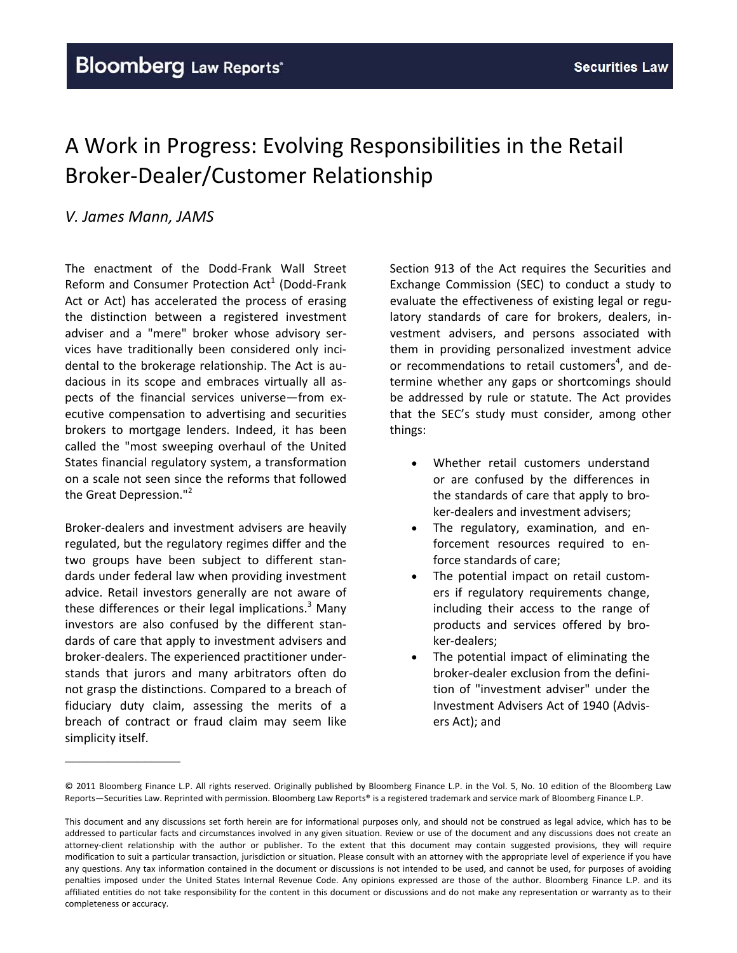# A Work in Progress: Evolving Responsibilities in the Retail Broker‐Dealer/Customer Relationship

## *V. James Mann, JAMS*

The enactment of the Dodd‐Frank Wall Street Reform and Consumer Protection  $Act<sup>1</sup>$  (Dodd-Frank Act or Act) has accelerated the process of erasing the distinction between a registered investment adviser and a "mere" broker whose advisory ser‐ vices have traditionally been considered only inci‐ dental to the brokerage relationship. The Act is au‐ dacious in its scope and embraces virtually all as‐ pects of the financial services universe—from ex‐ ecutive compensation to advertising and securities brokers to mortgage lenders. Indeed, it has been called the "most sweeping overhaul of the United States financial regulatory system, a transformation on a scale not seen since the reforms that followed the Great Depression."<sup>2</sup>

Broker‐dealers and investment advisers are heavily regulated, but the regulatory regimes differ and the two groups have been subject to different stan‐ dards under federal law when providing investment advice. Retail investors generally are not aware of these differences or their legal implications. $3$  Many investors are also confused by the different stan‐ dards of care that apply to investment advisers and broker‐dealers. The experienced practitioner under‐ stands that jurors and many arbitrators often do not grasp the distinctions. Compared to a breach of fiduciary duty claim, assessing the merits of a breach of contract or fraud claim may seem like simplicity itself.

\_\_\_\_\_\_\_\_\_\_\_\_\_\_\_\_

Section 913 of the Act requires the Securities and Exchange Commission (SEC) to conduct a study to evaluate the effectiveness of existing legal or regu‐ latory standards of care for brokers, dealers, in‐ vestment advisers, and persons associated with them in providing personalized investment advice or recommendations to retail customers<sup>4</sup>, and determine whether any gaps or shortcomings should be addressed by rule or statute. The Act provides that the SEC's study must consider, among other things:

- Whether retail customers understand or are confused by the differences in the standards of care that apply to bro‐ ker‐dealers and investment advisers;
- The regulatory, examination, and enforcement resources required to en‐ force standards of care;
- The potential impact on retail customers if regulatory requirements change, including their access to the range of products and services offered by bro‐ ker‐dealers;
- The potential impact of eliminating the broker‐dealer exclusion from the defini‐ tion of "investment adviser" under the Investment Advisers Act of 1940 (Advis‐ ers Act); and

<sup>©</sup> 2011 Bloomberg Finance L.P. All rights reserved. Originally published by Bloomberg Finance L.P. in the Vol. 5, No. 10 edition of the Bloomberg Law Reports—Securities Law. Reprinted with permission. Bloomberg Law Reports® is a registered trademark and service mark of Bloomberg Finance L.P.

This document and any discussions set forth herein are for informational purposes only, and should not be construed as legal advice, which has to be addressed to particular facts and circumstances involved in any given situation. Review or use of the document and any discussions does not create an attorney‐client relationship with the author or publisher. To the extent that this document may contain suggested provisions, they will require modification to suit a particular transaction, jurisdiction or situation. Please consult with an attorney with the appropriate level of experience if you have any questions. Any tax information contained in the document or discussions is not intended to be used, and cannot be used, for purposes of avoiding penalties imposed under the United States Internal Revenue Code. Any opinions expressed are those of the author. Bloomberg Finance L.P. and its affiliated entities do not take responsibility for the content in this document or discussions and do not make any representation or warranty as to their completeness or accuracy.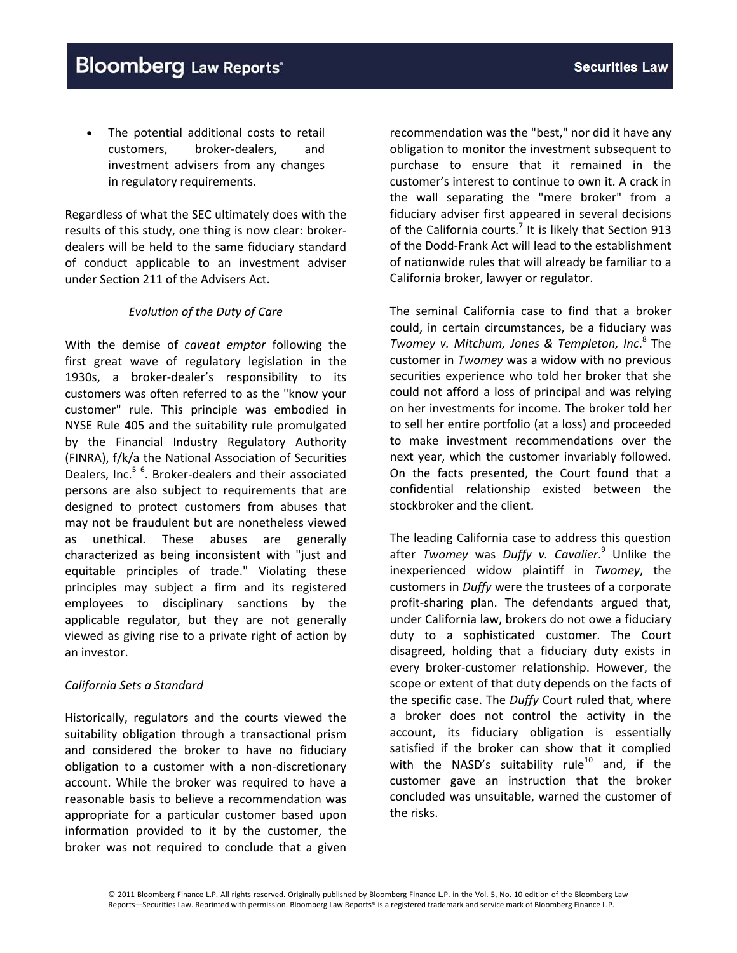The potential additional costs to retail customers, broker‐dealers, and investment advisers from any changes in regulatory requirements.

Regardless of what the SEC ultimately does with the results of this study, one thing is now clear: broker‐ dealers will be held to the same fiduciary standard of conduct applicable to an investment adviser under Section 211 of the Advisers Act.

#### *Evolution of the Duty of Care*

With the demise of *caveat emptor* following the first great wave of regulatory legislation in the 1930s, a broker-dealer's responsibility to its customers was often referred to as the "know your customer" rule. This principle was embodied in NYSE Rule 405 and the suitability rule promulgated by the Financial Industry Regulatory Authority (FINRA), f/k/a the National Association of Securities Dealers, Inc.<sup>5 6</sup>. Broker-dealers and their associated persons are also subject to requirements that are designed to protect customers from abuses that may not be fraudulent but are nonetheless viewed as unethical. These abuses are generally characterized as being inconsistent with "just and equitable principles of trade." Violating these principles may subject a firm and its registered employees to disciplinary sanctions by the applicable regulator, but they are not generally viewed as giving rise to a private right of action by an investor.

#### *California Sets a Standard*

Historically, regulators and the courts viewed the suitability obligation through a transactional prism and considered the broker to have no fiduciary obligation to a customer with a non‐discretionary account. While the broker was required to have a reasonable basis to believe a recommendation was appropriate for a particular customer based upon information provided to it by the customer, the broker was not required to conclude that a given

recommendation was the "best," nor did it have any obligation to monitor the investment subsequent to purchase to ensure that it remained in the customer's interest to continue to own it. A crack in the wall separating the "mere broker" from a fiduciary adviser first appeared in several decisions of the California courts.<sup>7</sup> It is likely that Section 913 of the Dodd‐Frank Act will lead to the establishment of nationwide rules that will already be familiar to a California broker, lawyer or regulator.

The seminal California case to find that a broker could, in certain circumstances, be a fiduciary was *Twomey v. Mitchum, Jones & Templeton, Inc*. <sup>8</sup> The customer in *Twomey* was a widow with no previous securities experience who told her broker that she could not afford a loss of principal and was relying on her investments for income. The broker told her to sell her entire portfolio (at a loss) and proceeded to make investment recommendations over the next year, which the customer invariably followed. On the facts presented, the Court found that a confidential relationship existed between the stockbroker and the client.

The leading California case to address this question after *Twomey* was *Duffy v. Cavalier*. <sup>9</sup> Unlike the inexperienced widow plaintiff in *Twomey*, the customers in *Duffy* were the trustees of a corporate profit‐sharing plan. The defendants argued that, under California law, brokers do not owe a fiduciary duty to a sophisticated customer. The Court disagreed, holding that a fiduciary duty exists in every broker‐customer relationship. However, the scope or extent of that duty depends on the facts of the specific case. The *Duffy* Court ruled that, where a broker does not control the activity in the account, its fiduciary obligation is essentially satisfied if the broker can show that it complied with the NASD's suitability rule<sup>10</sup> and, if the customer gave an instruction that the broker concluded was unsuitable, warned the customer of the risks.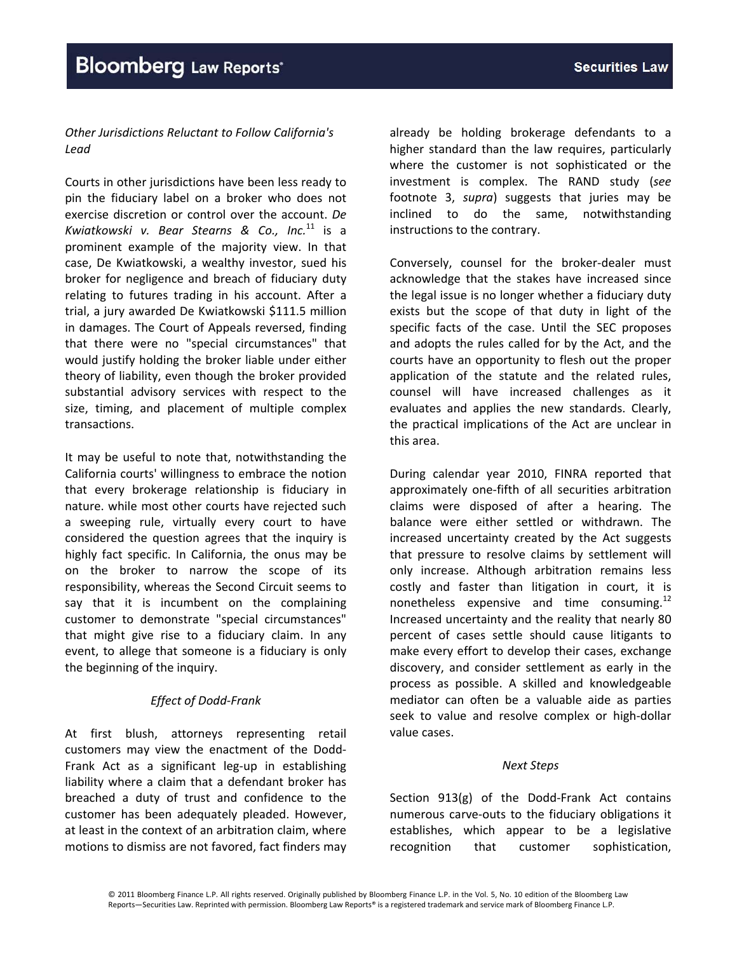### *Other Jurisdictions Reluctant to Follow California's Lead*

Courts in other jurisdictions have been less ready to pin the fiduciary label on a broker who does not exercise discretion or control over the account. *De Kwiatkowski v. Bear Stearns & Co., Inc.*<sup>11</sup> is a prominent example of the majority view. In that case, De Kwiatkowski, a wealthy investor, sued his broker for negligence and breach of fiduciary duty relating to futures trading in his account. After a trial, a jury awarded De Kwiatkowski \$111.5 million in damages. The Court of Appeals reversed, finding that there were no "special circumstances" that would justify holding the broker liable under either theory of liability, even though the broker provided substantial advisory services with respect to the size, timing, and placement of multiple complex transactions.

It may be useful to note that, notwithstanding the California courts' willingness to embrace the notion that every brokerage relationship is fiduciary in nature. while most other courts have rejected such a sweeping rule, virtually every court to have considered the question agrees that the inquiry is highly fact specific. In California, the onus may be on the broker to narrow the scope of its responsibility, whereas the Second Circuit seems to say that it is incumbent on the complaining customer to demonstrate "special circumstances" that might give rise to a fiduciary claim. In any event, to allege that someone is a fiduciary is only the beginning of the inquiry.

#### *Effect of Dodd‐Frank*

At first blush, attorneys representing retail customers may view the enactment of the Dodd‐ Frank Act as a significant leg‐up in establishing liability where a claim that a defendant broker has breached a duty of trust and confidence to the customer has been adequately pleaded. However, at least in the context of an arbitration claim, where motions to dismiss are not favored, fact finders may

already be holding brokerage defendants to a higher standard than the law requires, particularly where the customer is not sophisticated or the investment is complex. The RAND study (*see* footnote 3, *supra*) suggests that juries may be inclined to do the same, notwithstanding instructions to the contrary.

Conversely, counsel for the broker‐dealer must acknowledge that the stakes have increased since the legal issue is no longer whether a fiduciary duty exists but the scope of that duty in light of the specific facts of the case. Until the SEC proposes and adopts the rules called for by the Act, and the courts have an opportunity to flesh out the proper application of the statute and the related rules, counsel will have increased challenges as it evaluates and applies the new standards. Clearly, the practical implications of the Act are unclear in this area.

During calendar year 2010, FINRA reported that approximately one‐fifth of all securities arbitration claims were disposed of after a hearing. The balance were either settled or withdrawn. The increased uncertainty created by the Act suggests that pressure to resolve claims by settlement will only increase. Although arbitration remains less costly and faster than litigation in court, it is nonetheless expensive and time consuming.<sup>12</sup> Increased uncertainty and the reality that nearly 80 percent of cases settle should cause litigants to make every effort to develop their cases, exchange discovery, and consider settlement as early in the process as possible. A skilled and knowledgeable mediator can often be a valuable aide as parties seek to value and resolve complex or high-dollar value cases.

#### *Next Steps*

Section 913(g) of the Dodd‐Frank Act contains numerous carve‐outs to the fiduciary obligations it establishes, which appear to be a legislative recognition that customer sophistication,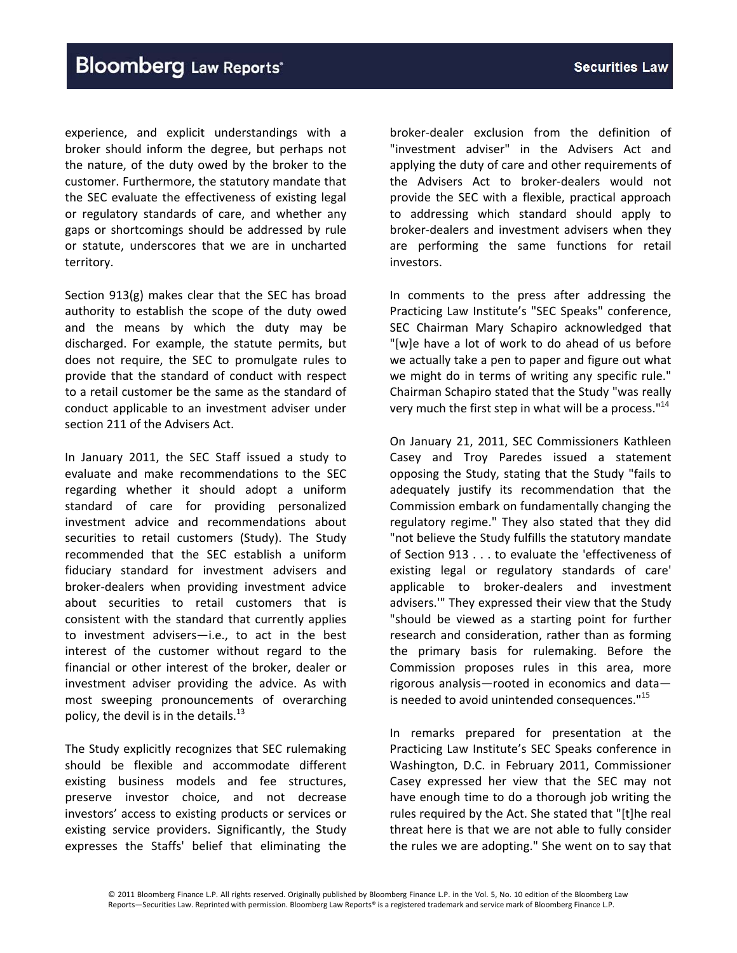experience, and explicit understandings with a broker should inform the degree, but perhaps not the nature, of the duty owed by the broker to the customer. Furthermore, the statutory mandate that the SEC evaluate the effectiveness of existing legal or regulatory standards of care, and whether any gaps or shortcomings should be addressed by rule or statute, underscores that we are in uncharted territory.

Section 913(g) makes clear that the SEC has broad authority to establish the scope of the duty owed and the means by which the duty may be discharged. For example, the statute permits, but does not require, the SEC to promulgate rules to provide that the standard of conduct with respect to a retail customer be the same as the standard of conduct applicable to an investment adviser under section 211 of the Advisers Act.

In January 2011, the SEC Staff issued a study to evaluate and make recommendations to the SEC regarding whether it should adopt a uniform standard of care for providing personalized investment advice and recommendations about securities to retail customers (Study). The Study recommended that the SEC establish a uniform fiduciary standard for investment advisers and broker‐dealers when providing investment advice about securities to retail customers that is consistent with the standard that currently applies to investment advisers—i.e., to act in the best interest of the customer without regard to the financial or other interest of the broker, dealer or investment adviser providing the advice. As with most sweeping pronouncements of overarching policy, the devil is in the details. $^{13}$ 

The Study explicitly recognizes that SEC rulemaking should be flexible and accommodate different existing business models and fee structures, preserve investor choice, and not decrease investors' access to existing products or services or existing service providers. Significantly, the Study expresses the Staffs' belief that eliminating the

broker‐dealer exclusion from the definition of "investment adviser" in the Advisers Act and applying the duty of care and other requirements of the Advisers Act to broker‐dealers would not provide the SEC with a flexible, practical approach to addressing which standard should apply to broker‐dealers and investment advisers when they are performing the same functions for retail investors.

In comments to the press after addressing the Practicing Law Institute's "SEC Speaks" conference, SEC Chairman Mary Schapiro acknowledged that "[w]e have a lot of work to do ahead of us before we actually take a pen to paper and figure out what we might do in terms of writing any specific rule." Chairman Schapiro stated that the Study "was really very much the first step in what will be a process. $114$ 

On January 21, 2011, SEC Commissioners Kathleen Casey and Troy Paredes issued a statement opposing the Study, stating that the Study "fails to adequately justify its recommendation that the Commission embark on fundamentally changing the regulatory regime." They also stated that they did "not believe the Study fulfills the statutory mandate of Section 913 . . . to evaluate the 'effectiveness of existing legal or regulatory standards of care' applicable to broker‐dealers and investment advisers.'" They expressed their view that the Study "should be viewed as a starting point for further research and consideration, rather than as forming the primary basis for rulemaking. Before the Commission proposes rules in this area, more rigorous analysis—rooted in economics and data is needed to avoid unintended consequences."<sup>15</sup>

In remarks prepared for presentation at the Practicing Law Institute's SEC Speaks conference in Washington, D.C. in February 2011, Commissioner Casey expressed her view that the SEC may not have enough time to do a thorough job writing the rules required by the Act. She stated that "[t]he real threat here is that we are not able to fully consider the rules we are adopting." She went on to say that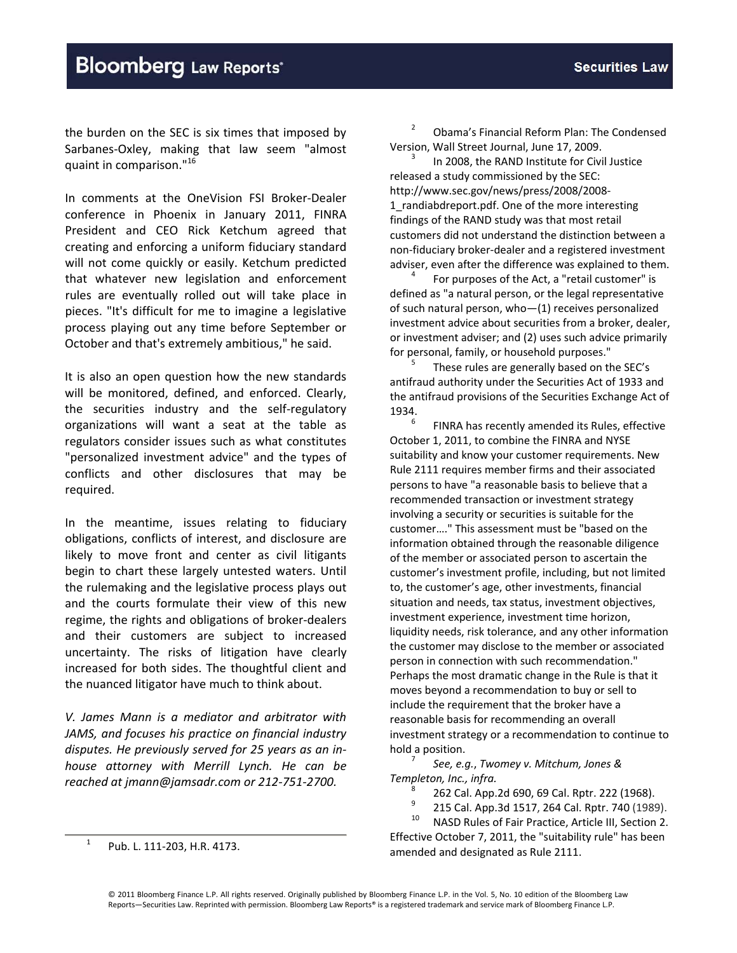the burden on the SEC is six times that imposed by Sarbanes‐Oxley, making that law seem "almost quaint in comparison."<sup>16</sup>

In comments at the OneVision FSI Broker‐Dealer conference in Phoenix in January 2011, FINRA President and CEO Rick Ketchum agreed that creating and enforcing a uniform fiduciary standard will not come quickly or easily. Ketchum predicted that whatever new legislation and enforcement rules are eventually rolled out will take place in pieces. "It's difficult for me to imagine a legislative process playing out any time before September or October and that's extremely ambitious," he said.

It is also an open question how the new standards will be monitored, defined, and enforced. Clearly, the securities industry and the self‐regulatory organizations will want a seat at the table as regulators consider issues such as what constitutes "personalized investment advice" and the types of conflicts and other disclosures that may be required.

In the meantime, issues relating to fiduciary obligations, conflicts of interest, and disclosure are likely to move front and center as civil litigants begin to chart these largely untested waters. Until the rulemaking and the legislative process plays out and the courts formulate their view of this new regime, the rights and obligations of broker‐dealers and their customers are subject to increased uncertainty. The risks of litigation have clearly increased for both sides. The thoughtful client and the nuanced litigator have much to think about.

*V. James Mann is a mediator and arbitrator with JAMS, and focuses his practice on financial industry disputes. He previously served for 25 years as an in‐ house attorney with Merrill Lynch. He can be reached at jmann@jamsadr.com or 212‐751‐2700.*

<sup>1</sup> Pub. L. 111‐203, H.R. 4173.

<sup>2</sup> Obama's Financial Reform Plan: The Condensed Version, Wall Street Journal, June 17, 2009.<br><sup>3</sup> In 2008, the RAND Institute for Civil Justice

released a study commissioned by the SEC: http://www.sec.gov/news/press/2008/2008‐ 1\_randiabdreport.pdf. One of the more interesting findings of the RAND study was that most retail customers did not understand the distinction between a non‐fiduciary broker‐dealer and a registered investment adviser, even after the difference was explained to them.<br><sup>4</sup> For purposes of the Act, a "retail customer" is

defined as "a natural person, or the legal representative of such natural person, who—(1) receives personalized investment advice about securities from a broker, dealer, or investment adviser; and (2) uses such advice primarily

for personal, family, or household purposes."<br><sup>5</sup> These rules are generally based on the SEC's antifraud authority under the Securities Act of 1933 and the antifraud provisions of the Securities Exchange Act of 1934.<br><sup>6</sup> FINRA has recently amended its Rules, effective

October 1, 2011, to combine the FINRA and NYSE suitability and know your customer requirements. New Rule 2111 requires member firms and their associated persons to have "a reasonable basis to believe that a recommended transaction or investment strategy involving a security or securities is suitable for the customer…." This assessment must be "based on the information obtained through the reasonable diligence of the member or associated person to ascertain the customer's investment profile, including, but not limited to, the customer's age, other investments, financial situation and needs, tax status, investment objectives, investment experience, investment time horizon, liquidity needs, risk tolerance, and any other information the customer may disclose to the member or associated person in connection with such recommendation." Perhaps the most dramatic change in the Rule is that it moves beyond a recommendation to buy or sell to include the requirement that the broker have a reasonable basis for recommending an overall investment strategy or a recommendation to continue to hold <sup>a</sup> position. <sup>7</sup> *See, e.g.*, *Twomey v. Mitchum, Jones &*

- *Templeton, Inc., infra.*<br>
<sup>8</sup> 262 Cal. App.2d 690, 69 Cal. Rptr. 222 (1968).<br>
<sup>9</sup> 215 Cal. App.3d 1517, 264 Cal. Rptr. 740 (1989).<br>
<sup>10</sup> NASD Rules of Fair Practice. Article III. Section 2.
	-

Effective October 7, 2011, the "suitability rule" has been amended and designated as Rule 2111.